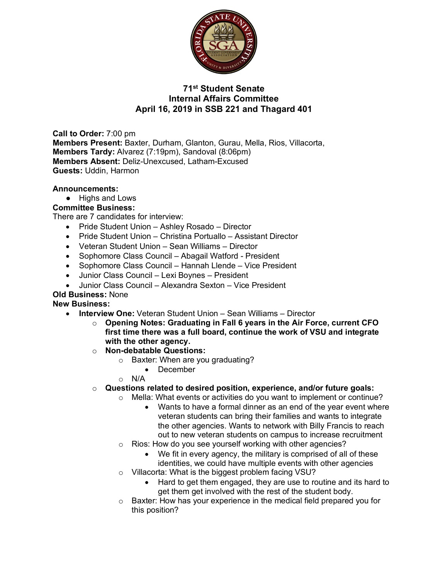

# **71st Student Senate Internal Affairs Committee April 16, 2019 in SSB 221 and Thagard 401**

**Call to Order:** 7:00 pm **Members Present:** Baxter, Durham, Glanton, Gurau, Mella, Rios, Villacorta, **Members Tardy:** Alvarez (7:19pm), Sandoval (8:06pm) **Members Absent:** Deliz-Unexcused, Latham-Excused **Guests:** Uddin, Harmon

#### **Announcements:**

● Highs and Lows

### **Committee Business:**

There are 7 candidates for interview:

- Pride Student Union Ashley Rosado Director
- Pride Student Union Christina Portuallo Assistant Director
- Veteran Student Union Sean Williams Director
- Sophomore Class Council Abagail Watford President
- Sophomore Class Council Hannah Llende Vice President
- Junior Class Council Lexi Boynes President
- Junior Class Council Alexandra Sexton Vice President

#### **Old Business:** None

#### **New Business:**

- **Interview One:** Veteran Student Union Sean Williams Director
	- o **Opening Notes: Graduating in Fall 6 years in the Air Force, current CFO first time there was a full board, continue the work of VSU and integrate with the other agency.**
	- o **Non-debatable Questions:**
		- o Baxter: When are you graduating?
			- December
		- o N/A
	- o **Questions related to desired position, experience, and/or future goals:**
		- o Mella: What events or activities do you want to implement or continue?
			- Wants to have a formal dinner as an end of the year event where veteran students can bring their families and wants to integrate the other agencies. Wants to network with Billy Francis to reach out to new veteran students on campus to increase recruitment
			- o Rios: How do you see yourself working with other agencies?
				- We fit in every agency, the military is comprised of all of these identities, we could have multiple events with other agencies
			- o Villacorta: What is the biggest problem facing VSU?
				- Hard to get them engaged, they are use to routine and its hard to get them get involved with the rest of the student body.
			- o Baxter: How has your experience in the medical field prepared you for this position?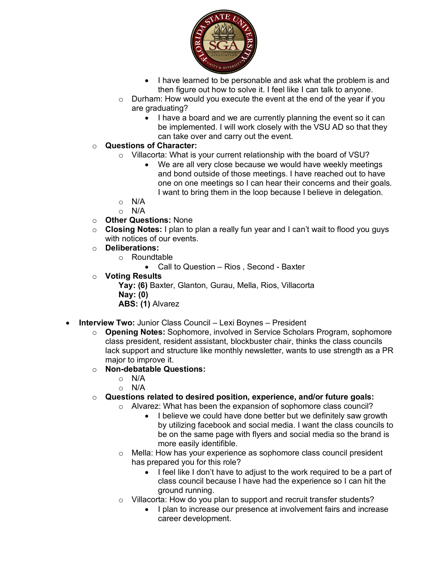

- I have learned to be personable and ask what the problem is and then figure out how to solve it. I feel like I can talk to anyone.
- o Durham: How would you execute the event at the end of the year if you are graduating?
	- I have a board and we are currently planning the event so it can be implemented. I will work closely with the VSU AD so that they can take over and carry out the event.

- o Villacorta: What is your current relationship with the board of VSU?
	- We are all very close because we would have weekly meetings and bond outside of those meetings. I have reached out to have one on one meetings so I can hear their concerns and their goals. I want to bring them in the loop because I believe in delegation.
- o N/A
- $\circ$  N/A
- o **Other Questions:** None
- o **Closing Notes:** I plan to plan a really fun year and I can't wait to flood you guys with notices of our events.
- o **Deliberations:**
	- o Roundtable

• Call to Question – Rios , Second - Baxter

o **Voting Results**

**Yay: (6)** Baxter, Glanton, Gurau, Mella, Rios, Villacorta **Nay: (0) ABS: (1)** Alvarez

- **Interview Two:** Junior Class Council Lexi Boynes President
	- o **Opening Notes:** Sophomore, involved in Service Scholars Program, sophomore class president, resident assistant, blockbuster chair, thinks the class councils lack support and structure like monthly newsletter, wants to use strength as a PR major to improve it.
	- o **Non-debatable Questions:**
		- o N/A
		- $\circ$  N/A
	- o **Questions related to desired position, experience, and/or future goals:**
		- o Alvarez: What has been the expansion of sophomore class council?
			- I believe we could have done better but we definitely saw growth by utilizing facebook and social media. I want the class councils to be on the same page with flyers and social media so the brand is more easily identifible.
		- o Mella: How has your experience as sophomore class council president has prepared you for this role?
			- I feel like I don't have to adjust to the work required to be a part of class council because I have had the experience so I can hit the ground running.
		- Villacorta: How do you plan to support and recruit transfer students?
			- I plan to increase our presence at involvement fairs and increase career development.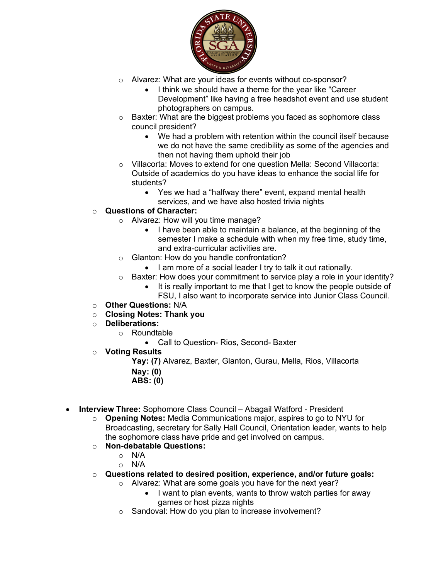

- o Alvarez: What are your ideas for events without co-sponsor?
	- I think we should have a theme for the year like "Career Development" like having a free headshot event and use student photographers on campus.
- o Baxter: What are the biggest problems you faced as sophomore class council president?
	- We had a problem with retention within the council itself because we do not have the same credibility as some of the agencies and then not having them uphold their job
- o Villacorta: Moves to extend for one question Mella: Second Villacorta: Outside of academics do you have ideas to enhance the social life for students?
	- Yes we had a "halfway there" event, expand mental health services, and we have also hosted trivia nights

- o Alvarez: How will you time manage?
	- I have been able to maintain a balance, at the beginning of the semester I make a schedule with when my free time, study time, and extra-curricular activities are.
- o Glanton: How do you handle confrontation?
	- I am more of a social leader I try to talk it out rationally.
- $\circ$  Baxter: How does your commitment to service play a role in your identity?
	- It is really important to me that I get to know the people outside of
		- FSU, I also want to incorporate service into Junior Class Council.
- o **Other Questions:** N/A
- o **Closing Notes: Thank you**
- o **Deliberations:**
	- o Roundtable
		- Call to Question- Rios, Second- Baxter
- o **Voting Results**

**Yay: (7)** Alvarez, Baxter, Glanton, Gurau, Mella, Rios, Villacorta

- **Nay: (0)**
- **ABS: (0)**
- **Interview Three:** Sophomore Class Council Abagail Watford President
	- o **Opening Notes:** Media Communications major, aspires to go to NYU for Broadcasting, secretary for Sally Hall Council, Orientation leader, wants to help the sophomore class have pride and get involved on campus.
	- o **Non-debatable Questions:**
		- o N/A
			- o N/A
	- o **Questions related to desired position, experience, and/or future goals:**
		- o Alvarez: What are some goals you have for the next year?
			- I want to plan events, wants to throw watch parties for away games or host pizza nights
		- o Sandoval: How do you plan to increase involvement?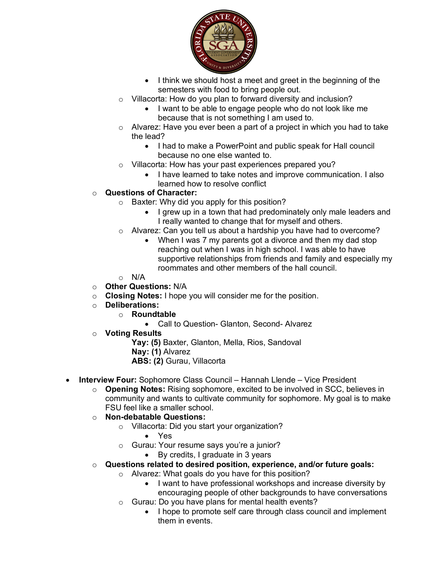

- I think we should host a meet and greet in the beginning of the semesters with food to bring people out.
- o Villacorta: How do you plan to forward diversity and inclusion?
	- I want to be able to engage people who do not look like me because that is not something I am used to.
- o Alvarez: Have you ever been a part of a project in which you had to take the lead?
	- I had to make a PowerPoint and public speak for Hall council because no one else wanted to.
- o Villacorta: How has your past experiences prepared you?
	- I have learned to take notes and improve communication. I also learned how to resolve conflict

- o Baxter: Why did you apply for this position?
	- I grew up in a town that had predominately only male leaders and I really wanted to change that for myself and others.
- o Alvarez: Can you tell us about a hardship you have had to overcome?
	- When I was 7 my parents got a divorce and then my dad stop reaching out when I was in high school. I was able to have supportive relationships from friends and family and especially my roommates and other members of the hall council.

## o N/A

- o **Other Questions:** N/A
- o **Closing Notes:** I hope you will consider me for the position.
- o **Deliberations:**
	- o **Roundtable**
		- Call to Question- Glanton, Second- Alvarez
- o **Voting Results**

**Yay: (5)** Baxter, Glanton, Mella, Rios, Sandoval **Nay: (1)** Alvarez **ABS: (2)** Gurau, Villacorta

- **Interview Four:** Sophomore Class Council Hannah Llende Vice President
	- o **Opening Notes:** Rising sophomore, excited to be involved in SCC, believes in community and wants to cultivate community for sophomore. My goal is to make FSU feel like a smaller school.
	- o **Non-debatable Questions:**
		- o Villacorta: Did you start your organization?
			- Yes
		- o Gurau: Your resume says you're a junior?
			- By credits, I graduate in 3 years
	- o **Questions related to desired position, experience, and/or future goals:**
		- o Alvarez: What goals do you have for this position?
			- I want to have professional workshops and increase diversity by encouraging people of other backgrounds to have conversations
		- o Gurau: Do you have plans for mental health events?
			- I hope to promote self care through class council and implement them in events.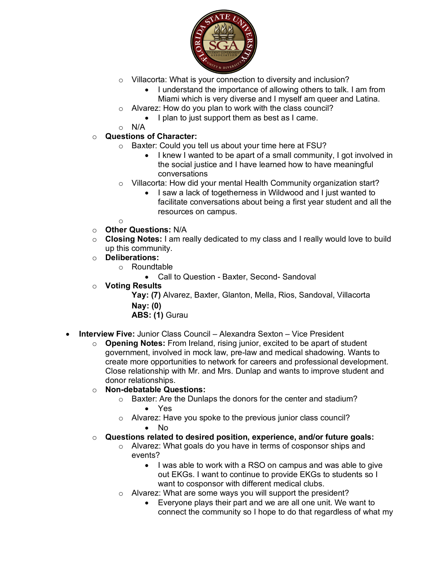

- o Villacorta: What is your connection to diversity and inclusion?
	- I understand the importance of allowing others to talk. I am from Miami which is very diverse and I myself am queer and Latina.
- o Alvarez: How do you plan to work with the class council?
	- I plan to just support them as best as I came.
- o N/A
- o **Questions of Character:**
	- o Baxter: Could you tell us about your time here at FSU?
		- I knew I wanted to be apart of a small community, I got involved in the social justice and I have learned how to have meaningful conversations
	- o Villacorta: How did your mental Health Community organization start?
		- I saw a lack of togetherness in Wildwood and I just wanted to facilitate conversations about being a first year student and all the resources on campus.
	- o
- o **Other Questions:** N/A
- o **Closing Notes:** I am really dedicated to my class and I really would love to build up this community.
- o **Deliberations:**
	- o Roundtable
		- Call to Question Baxter, Second- Sandoval
- o **Voting Results**

**Yay: (7)** Alvarez, Baxter, Glanton, Mella, Rios, Sandoval, Villacorta **Nay: (0)**

**ABS: (1)** Gurau

- **Interview Five:** Junior Class Council Alexandra Sexton Vice President
	- o **Opening Notes:** From Ireland, rising junior, excited to be apart of student government, involved in mock law, pre-law and medical shadowing. Wants to create more opportunities to network for careers and professional development. Close relationship with Mr. and Mrs. Dunlap and wants to improve student and donor relationships.
	- o **Non-debatable Questions:** 
		- o Baxter: Are the Dunlaps the donors for the center and stadium? • Yes
		- o Alvarez: Have you spoke to the previous junior class council? • No
	- o **Questions related to desired position, experience, and/or future goals:**
		- o Alvarez: What goals do you have in terms of cosponsor ships and events?
			- I was able to work with a RSO on campus and was able to give out EKGs. I want to continue to provide EKGs to students so I want to cosponsor with different medical clubs.
		- o Alvarez: What are some ways you will support the president?
			- Everyone plays their part and we are all one unit. We want to connect the community so I hope to do that regardless of what my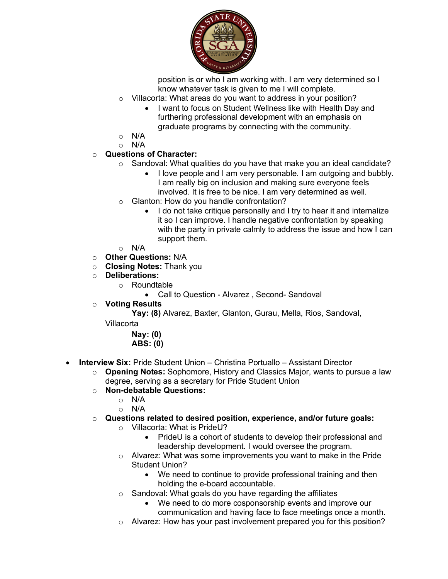

position is or who I am working with. I am very determined so I know whatever task is given to me I will complete.

- o Villacorta: What areas do you want to address in your position?
	- I want to focus on Student Wellness like with Health Day and furthering professional development with an emphasis on graduate programs by connecting with the community.
- o N/A
- o N/A

# o **Questions of Character:**

- $\circ$  Sandoval: What qualities do you have that make you an ideal candidate?
	- I love people and I am very personable. I am outgoing and bubbly. I am really big on inclusion and making sure everyone feels involved. It is free to be nice. I am very determined as well.
- o Glanton: How do you handle confrontation?
	- I do not take critique personally and I try to hear it and internalize it so I can improve. I handle negative confrontation by speaking with the party in private calmly to address the issue and how I can support them.
- $\circ$  N/A
- o **Other Questions:** N/A
- o **Closing Notes:** Thank you
- o **Deliberations:**
	- o Roundtable
		- Call to Question Alvarez , Second- Sandoval
- o **Voting Results**

**Yay: (8)** Alvarez, Baxter, Glanton, Gurau, Mella, Rios, Sandoval,

Villacorta

**Nay: (0) ABS: (0)**

- **Interview Six:** Pride Student Union Christina Portuallo Assistant Director
	- o **Opening Notes:** Sophomore, History and Classics Major, wants to pursue a law degree, serving as a secretary for Pride Student Union
	- o **Non-debatable Questions:**
		- $\circ$  N/A
		- o N/A
	- o **Questions related to desired position, experience, and/or future goals:**
		- o Villacorta: What is PrideU?
			- PrideU is a cohort of students to develop their professional and leadership development. I would oversee the program.
		- $\circ$  Alvarez: What was some improvements you want to make in the Pride Student Union?
			- We need to continue to provide professional training and then holding the e-board accountable.
		- o Sandoval: What goals do you have regarding the affiliates
			- We need to do more cosponsorship events and improve our communication and having face to face meetings once a month.
		- $\circ$  Alvarez: How has your past involvement prepared you for this position?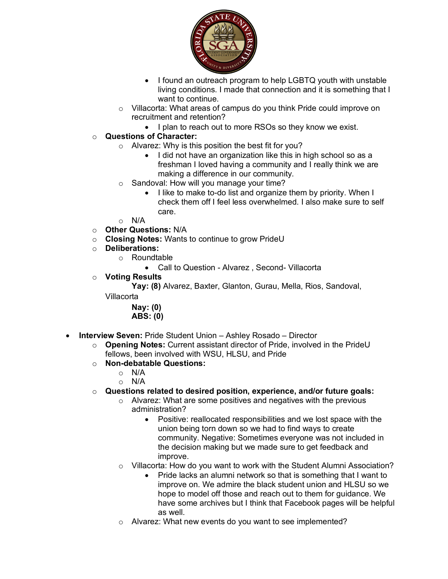

- I found an outreach program to help LGBTQ youth with unstable living conditions. I made that connection and it is something that I want to continue.
- o Villacorta: What areas of campus do you think Pride could improve on recruitment and retention?
	- I plan to reach out to more RSOs so they know we exist.

- o Alvarez: Why is this position the best fit for you?
	- I did not have an organization like this in high school so as a freshman I loved having a community and I really think we are making a difference in our community.
- o Sandoval: How will you manage your time?
	- I like to make to-do list and organize them by priority. When I check them off I feel less overwhelmed. I also make sure to self care.
- $\circ$  N/A
- o **Other Questions:** N/A
- o **Closing Notes:** Wants to continue to grow PrideU
- o **Deliberations:**
	- o Roundtable
		- Call to Question Alvarez , Second- Villacorta
- o **Voting Results**

**Yay: (8)** Alvarez, Baxter, Glanton, Gurau, Mella, Rios, Sandoval,

Villacorta

**Nay: (0) ABS: (0)** 

- **Interview Seven:** Pride Student Union Ashley Rosado Director
	- o **Opening Notes:** Current assistant director of Pride, involved in the PrideU fellows, been involved with WSU, HLSU, and Pride
	- o **Non-debatable Questions:**
		- o N/A
		- o N/A
	- o **Questions related to desired position, experience, and/or future goals:**
		- o Alvarez: What are some positives and negatives with the previous administration?
			- Positive: reallocated responsibilities and we lost space with the union being torn down so we had to find ways to create community. Negative: Sometimes everyone was not included in the decision making but we made sure to get feedback and improve.
		- o Villacorta: How do you want to work with the Student Alumni Association?
			- Pride lacks an alumni network so that is something that I want to improve on. We admire the black student union and HLSU so we hope to model off those and reach out to them for guidance. We have some archives but I think that Facebook pages will be helpful as well.
		- o Alvarez: What new events do you want to see implemented?